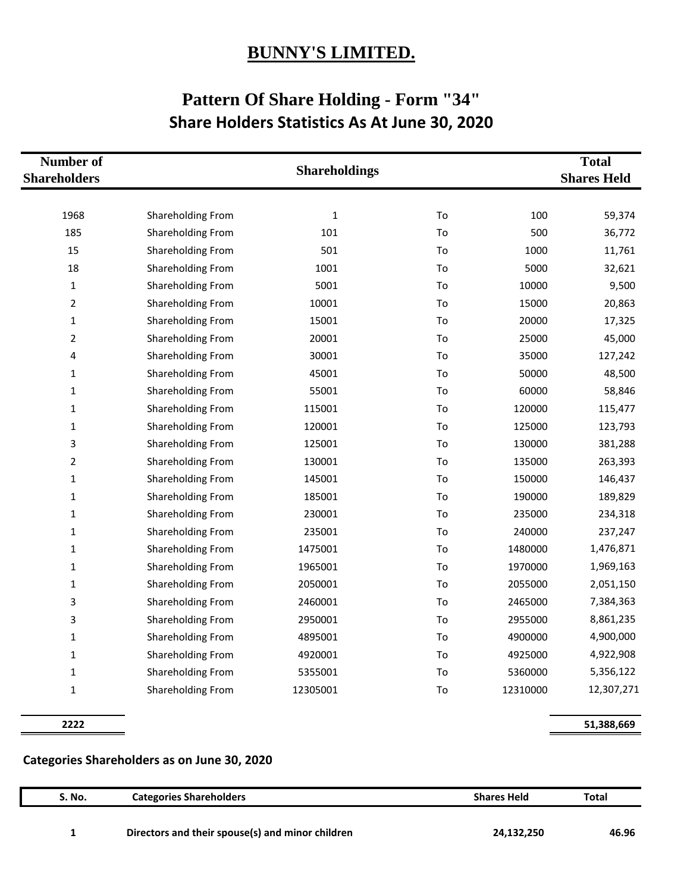## **BUNNY'S LIMITED.**

## **Pattern Of Share Holding - Form "34" Share Holders Statistics As At June 30, 2020**

| Number of<br><b>Shareholders</b> |                   | <b>Shareholdings</b> |    |          | <b>Total</b><br><b>Shares Held</b> |
|----------------------------------|-------------------|----------------------|----|----------|------------------------------------|
| 1968                             | Shareholding From | $\mathbf{1}$         | To | 100      | 59,374                             |
| 185                              | Shareholding From | 101                  | To | 500      | 36,772                             |
| 15                               | Shareholding From | 501                  | To | 1000     | 11,761                             |
| 18                               | Shareholding From | 1001                 | To | 5000     | 32,621                             |
| $\mathbf{1}$                     | Shareholding From | 5001                 | To | 10000    | 9,500                              |
| $\overline{2}$                   | Shareholding From | 10001                | To | 15000    | 20,863                             |
| 1                                | Shareholding From | 15001                | To | 20000    | 17,325                             |
| $\overline{2}$                   | Shareholding From | 20001                | To | 25000    | 45,000                             |
| 4                                | Shareholding From | 30001                | To | 35000    | 127,242                            |
| 1                                | Shareholding From | 45001                | To | 50000    | 48,500                             |
| 1                                | Shareholding From | 55001                | To | 60000    | 58,846                             |
| $\mathbf{1}$                     | Shareholding From | 115001               | To | 120000   | 115,477                            |
| 1                                | Shareholding From | 120001               | To | 125000   | 123,793                            |
| 3                                | Shareholding From | 125001               | To | 130000   | 381,288                            |
| $\overline{2}$                   | Shareholding From | 130001               | To | 135000   | 263,393                            |
| 1                                | Shareholding From | 145001               | To | 150000   | 146,437                            |
| $\mathbf 1$                      | Shareholding From | 185001               | To | 190000   | 189,829                            |
| $\mathbf 1$                      | Shareholding From | 230001               | To | 235000   | 234,318                            |
| 1                                | Shareholding From | 235001               | To | 240000   | 237,247                            |
| 1                                | Shareholding From | 1475001              | To | 1480000  | 1,476,871                          |
| $\mathbf 1$                      | Shareholding From | 1965001              | To | 1970000  | 1,969,163                          |
| 1                                | Shareholding From | 2050001              | To | 2055000  | 2,051,150                          |
| 3                                | Shareholding From | 2460001              | To | 2465000  | 7,384,363                          |
| 3                                | Shareholding From | 2950001              | To | 2955000  | 8,861,235                          |
| 1                                | Shareholding From | 4895001              | To | 4900000  | 4,900,000                          |
| $\mathbf 1$                      | Shareholding From | 4920001              | To | 4925000  | 4,922,908                          |
| $\mathbf{1}$                     | Shareholding From | 5355001              | To | 5360000  | 5,356,122                          |
| 1                                | Shareholding From | 12305001             | To | 12310000 | 12,307,271                         |

**2222 51,388,669**

## **Categories Shareholders as on June 30, 2020**

| S. No. | <b>Categories Shareholders</b>                   | <b>Shares Held</b> | Total |
|--------|--------------------------------------------------|--------------------|-------|
|        | Directors and their spouse(s) and minor children | 24,132,250         | 46.96 |